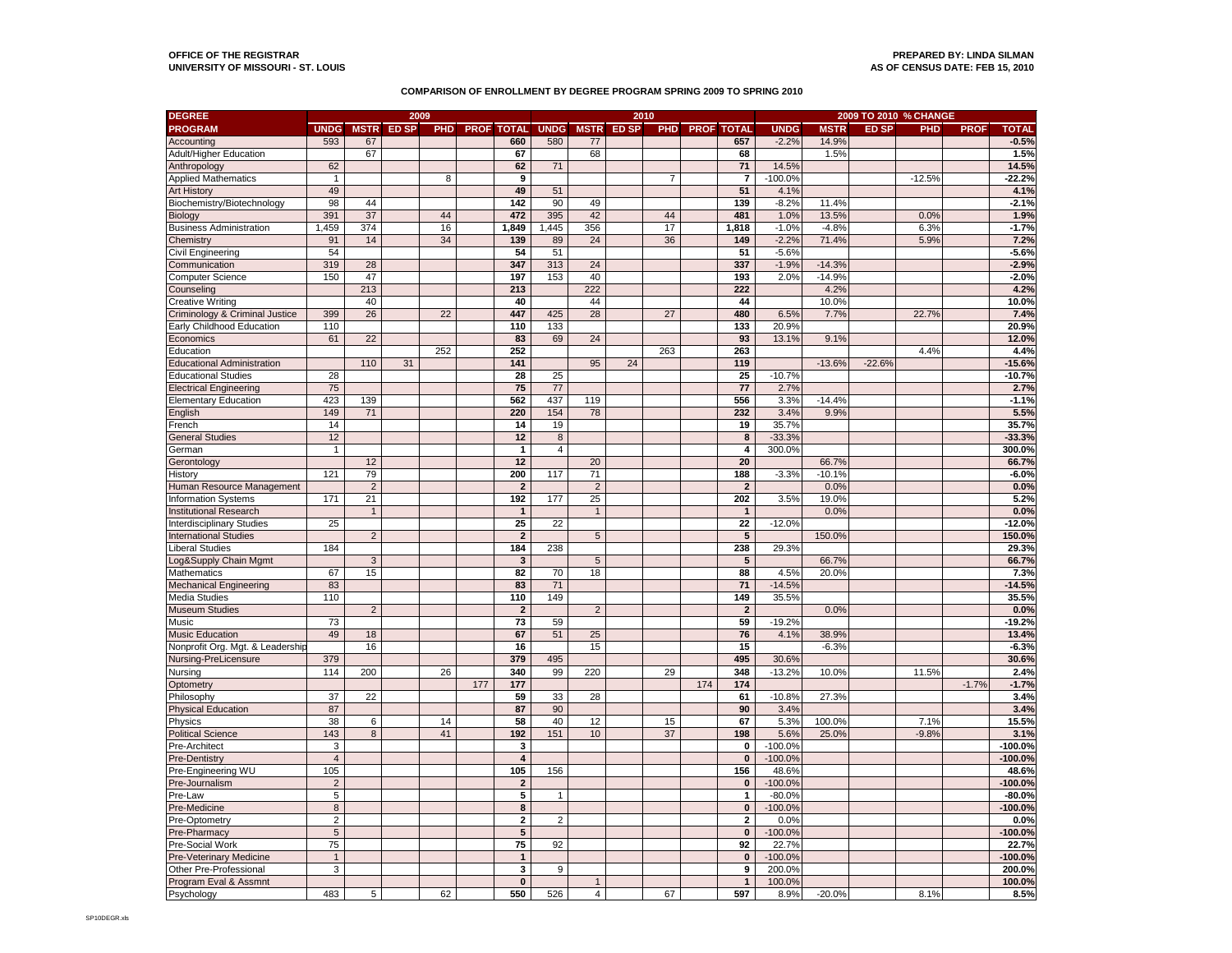## **OFFICE OF THE REGISTRAR PREPARED BY: LINDA SILMAN UNIVERSITY OF MISSOURI - ST. LOUIS**

## **COMPARISON OF ENROLLMENT BY DEGREE PROGRAM SPRING 2009 TO SPRING 2010**

| <b>DEGREE</b>                                                    | 2009           |                |       |            |     |                         |                |                | 2010              |                |     |                         | 2009 TO 2010 % CHANGE |             |              |            |             |              |  |
|------------------------------------------------------------------|----------------|----------------|-------|------------|-----|-------------------------|----------------|----------------|-------------------|----------------|-----|-------------------------|-----------------------|-------------|--------------|------------|-------------|--------------|--|
| <b>PROGRAM</b>                                                   | <b>UNDG</b>    | <b>MSTR</b>    | ED SP | <b>PHD</b> |     | <b>PROF TOTAL</b>       | <b>UNDG</b>    |                | <b>MSTR ED SP</b> | PHD.           |     | <b>PROF TOTAL</b>       | <b>UNDG</b>           | <b>MSTR</b> | <b>ED SP</b> | <b>PHD</b> | <b>PROF</b> | <b>TOTAL</b> |  |
| Accounting                                                       | 593            | 67             |       |            |     | 660                     | 580            | 77             |                   |                |     | 657                     | $-2.2%$               | 14.9%       |              |            |             | $-0.5%$      |  |
| Adult/Higher Education                                           |                | 67             |       |            |     | 67                      |                | 68             |                   |                |     | 68                      |                       | 1.5%        |              |            |             | 1.5%         |  |
| Anthropology                                                     | 62             |                |       |            |     | 62                      | 71             |                |                   |                |     | 71                      | 14.5%                 |             |              |            |             | 14.5%        |  |
| <b>Applied Mathematics</b>                                       | $\mathbf{1}$   |                |       | 8          |     | 9                       |                |                |                   | $\overline{7}$ |     | $\overline{7}$          | $-100.0%$             |             |              | $-12.5%$   |             | $-22.2%$     |  |
| <b>Art History</b>                                               | 49             |                |       |            |     | 49                      | 51             |                |                   |                |     | 51                      | 4.1%                  |             |              |            |             | 4.1%         |  |
| Biochemistry/Biotechnology                                       | 98             | 44             |       |            |     | 142                     | 90             | 49             |                   |                |     | 139                     | $-8.2%$               | 11.4%       |              |            |             | $-2.1%$      |  |
| Biology                                                          | 391            | 37             |       | 44         |     | 472                     | 395            | 42             |                   | 44             |     | 481                     | 1.0%                  | 13.5%       |              | 0.0%       |             | 1.9%         |  |
| <b>Business Administration</b>                                   | 1,459          | 374            |       | 16         |     | 1,849                   | ,445           | 356            |                   | 17             |     | 1,818                   | $-1.0%$               | $-4.8%$     |              | 6.3%       |             | $-1.7%$      |  |
| Chemistry                                                        | 91             | 14             |       | 34         |     | 139                     | 89             | 24             |                   | 36             |     | 149                     | $-2.2%$               | 71.4%       |              | 5.9%       |             | 7.2%         |  |
| Civil Engineering                                                | 54             |                |       |            |     | 54                      | 51             |                |                   |                |     | 51                      | $-5.6%$               |             |              |            |             | $-5.6%$      |  |
| Communication                                                    | 319            | 28             |       |            |     | 347                     | 313            | 24             |                   |                |     | 337                     | $-1.9%$               | $-14.3%$    |              |            |             | $-2.9%$      |  |
| Computer Science                                                 | 150            | 47             |       |            |     | 197                     | 153            | 40             |                   |                |     | 193                     | 2.0%                  | $-14.9%$    |              |            |             | $-2.0%$      |  |
| Counseling                                                       |                | 213            |       |            |     | 213                     |                | 222            |                   |                |     | 222                     |                       | 4.2%        |              |            |             | 4.2%         |  |
| <b>Creative Writing</b>                                          |                | 40             |       |            |     | 40                      |                | 44             |                   |                |     | 44                      |                       | 10.0%       |              |            |             | 10.0%        |  |
| Criminology & Criminal Justice                                   | 399            | 26             |       | 22         |     | 447                     | 425            | 28             |                   | 27             |     | 480                     | 6.5%                  | 7.7%        |              | 22.7%      |             | 7.4%         |  |
| Early Childhood Education                                        | 110            |                |       |            |     | 110                     | 133            |                |                   |                |     | 133                     | 20.9%                 |             |              |            |             | 20.9%        |  |
| Economics                                                        | 61             | 22             |       |            |     | 83                      | 69             | 24             |                   |                |     | 93                      | 13.1%                 | 9.1%        |              |            |             | 12.0%        |  |
| Education                                                        |                |                |       | 252        |     | 252                     |                |                |                   | 263            |     | 263                     |                       |             |              | 4.4%       |             | 4.4%         |  |
| <b>Educational Administration</b>                                |                | 110            | 31    |            |     | 141                     |                | 95             | 24                |                |     | 119                     |                       | $-13.6%$    | $-22.6%$     |            |             | $-15.6%$     |  |
| <b>Educational Studies</b>                                       | 28             |                |       |            |     | 28                      | 25             |                |                   |                |     | 25                      | $-10.7%$              |             |              |            |             | $-10.7%$     |  |
| <b>Electrical Engineering</b>                                    | 75             |                |       |            |     | 75                      | 77             |                |                   |                |     | 77                      | 2.7%                  |             |              |            |             | 2.7%         |  |
| <b>Elementary Education</b>                                      | 423            | 139            |       |            |     | 562                     | 437            | 119            |                   |                |     | 556                     | 3.3%                  | $-14.4%$    |              |            |             | $-1.1%$      |  |
| English                                                          | 149            | 71             |       |            |     | 220                     | 154            | 78             |                   |                |     | 232                     | 3.4%                  | 9.9%        |              |            |             | 5.5%         |  |
| French                                                           | 14             |                |       |            |     | 14                      | 19             |                |                   |                |     | 19                      | 35.7%                 |             |              |            |             | 35.7%        |  |
| <b>General Studies</b>                                           | 12             |                |       |            |     | 12                      | 8              |                |                   |                |     | 8                       | $-33.3%$              |             |              |            |             | $-33.3%$     |  |
| German                                                           | $\mathbf{1}$   |                |       |            |     | $\mathbf{1}$            | $\overline{4}$ |                |                   |                |     | 4                       | 300.0%                |             |              |            |             | 300.0%       |  |
| Gerontology                                                      |                | 12             |       |            |     | 12                      |                | 20             |                   |                |     | 20                      |                       | 66.7%       |              |            |             | 66.7%        |  |
| History                                                          | 121            | 79             |       |            |     | 200                     | 117            | 71             |                   |                |     | 188                     | $-3.3%$               | $-10.1%$    |              |            |             | $-6.0%$      |  |
| Human Resource Management                                        |                | $\overline{2}$ |       |            |     | $\boldsymbol{2}$        |                | $\mathbf 2$    |                   |                |     | $\overline{\mathbf{2}}$ |                       | 0.0%        |              |            |             | 0.0%         |  |
| nformation Systems                                               | 171            | 21             |       |            |     | 192                     | 177            | 25             |                   |                |     | 202                     | 3.5%                  | 19.0%       |              |            |             | 5.2%         |  |
| <b>Institutional Research</b>                                    |                | $\overline{1}$ |       |            |     | $\overline{1}$          |                | $\mathbf{1}$   |                   |                |     | $\mathbf{1}$            |                       | 0.0%        |              |            |             | 0.0%         |  |
|                                                                  | 25             |                |       |            |     | 25                      | 22             |                |                   |                |     | $\overline{22}$         | $-12.0%$              |             |              |            |             | $-12.0%$     |  |
| <b>Interdisciplinary Studies</b><br><b>International Studies</b> |                | $\overline{2}$ |       |            |     | $\overline{2}$          |                | 5              |                   |                |     | 5                       |                       | 150.0%      |              |            |             | 150.0%       |  |
|                                                                  | 184            |                |       |            |     | 184                     | 238            |                |                   |                |     | 238                     | 29.3%                 |             |              |            |             | 29.3%        |  |
| Liberal Studies<br>og&Supply Chain Mgmt                          |                | 3              |       |            |     | $\mathbf{3}$            |                | $\overline{5}$ |                   |                |     | $5\phantom{.0}$         |                       | 66.7%       |              |            |             | 66.7%        |  |
| Mathematics                                                      | 67             | 15             |       |            |     | 82                      | 70             | 18             |                   |                |     | 88                      | 4.5%                  | 20.0%       |              |            |             | 7.3%         |  |
| <b>Mechanical Engineering</b>                                    | 83             |                |       |            |     | 83                      | 71             |                |                   |                |     | 71                      | $-14.5%$              |             |              |            |             | $-14.5%$     |  |
| Media Studies                                                    | 110            |                |       |            |     | 110                     | 149            |                |                   |                |     | 149                     | 35.5%                 |             |              |            |             | 35.5%        |  |
| Museum Studies                                                   |                | $\overline{2}$ |       |            |     | $\boldsymbol{2}$        |                | $\overline{c}$ |                   |                |     | $\overline{2}$          |                       | 0.0%        |              |            |             | 0.0%         |  |
| Music                                                            | 73             |                |       |            |     | 73                      | 59             |                |                   |                |     | 59                      | $-19.2%$              |             |              |            |             | $-19.2%$     |  |
| <b>Music Education</b>                                           | 49             | 18             |       |            |     | 67                      | 51             | 25             |                   |                |     | 76                      | 4.1%                  | 38.9%       |              |            |             | 13.4%        |  |
| Vonprofit Org. Mgt. & Leadership                                 |                | 16             |       |            |     | 16                      |                | 15             |                   |                |     | 15                      |                       | $-6.3%$     |              |            |             | $-6.3%$      |  |
| Nursing-PreLicensure                                             | 379            |                |       |            |     | 379                     | 495            |                |                   |                |     | 495                     | 30.6%                 |             |              |            |             | 30.6%        |  |
| Nursing                                                          | 114            | 200            |       | 26         |     | 340                     | 99             | 220            |                   | 29             |     | 348                     | $-13.2%$              | 10.0%       |              | 11.5%      |             | 2.4%         |  |
|                                                                  |                |                |       |            | 177 | 177                     |                |                |                   |                | 174 | 174                     |                       |             |              |            | $-1.7%$     | $-1.7%$      |  |
| Optometry<br>Philosophy                                          | 37             | 22             |       |            |     | 59                      | 33             | 28             |                   |                |     | 61                      | $-10.8%$              | 27.3%       |              |            |             | 3.4%         |  |
|                                                                  | 87             |                |       |            |     | 87                      | 90             |                |                   |                |     | 90                      | 3.4%                  |             |              |            |             | 3.4%         |  |
| Physical Education<br>Physics                                    | 38             | 6              |       | 14         |     | 58                      | 40             | 12             |                   | 15             |     | 67                      | 5.3%                  | 100.0%      |              | 7.1%       |             | 15.5%        |  |
| <b>Political Science</b>                                         | 143            | 8              |       | 41         |     | 192                     | 151            | 10             |                   | 37             |     | 198                     | 5.6%                  | 25.0%       |              | $-9.8%$    |             | 3.1%         |  |
| Pre-Architect                                                    | 3              |                |       |            |     | 3                       |                |                |                   |                |     | 0                       | $-100.0%$             |             |              |            |             | $-100.0%$    |  |
| Pre-Dentistry                                                    | $\sqrt{4}$     |                |       |            |     | $\pmb{4}$               |                |                |                   |                |     | $\mathbf 0$             | $-100.0%$             |             |              |            |             | $-100.0%$    |  |
|                                                                  | 105            |                |       |            |     | 105                     | 156            |                |                   |                |     | 156                     | 48.6%                 |             |              |            |             | 48.6%        |  |
| Pre-Engineering WU<br>Pre-Journalism                             | $\overline{2}$ |                |       |            |     | $\boldsymbol{2}$        |                |                |                   |                |     | $\mathbf{0}$            | $-100.0%$             |             |              |            |             | $-100.0%$    |  |
|                                                                  |                |                |       |            |     |                         | $\overline{1}$ |                |                   |                |     |                         |                       |             |              |            |             |              |  |
| Pre-Law                                                          | 5              |                |       |            |     | 5                       |                |                |                   |                |     | $\mathbf{1}$            | $-80.0%$              |             |              |            |             | $-80.0%$     |  |
| Pre-Medicine                                                     | $\bf8$         |                |       |            |     | 8                       |                |                |                   |                |     | $\mathbf{0}$            | $-100.0%$             |             |              |            |             | $-100.0%$    |  |
| Pre-Optometry                                                    | $\overline{2}$ |                |       |            |     | $\overline{\mathbf{2}}$ | $\overline{2}$ |                |                   |                |     | $\mathbf{2}$            | 0.0%                  |             |              |            |             | 0.0%         |  |
| Pre-Pharmacy                                                     | $\overline{5}$ |                |       |            |     | $\overline{\mathbf{5}}$ |                |                |                   |                |     | $\overline{\mathbf{0}}$ | $-100.0%$             |             |              |            |             | $-100.0%$    |  |
| Pre-Social Work                                                  | 75             |                |       |            |     | 75                      | 92             |                |                   |                |     | 92                      | 22.7%                 |             |              |            |             | 22.7%        |  |
| Pre-Veterinary Medicine                                          | $\mathbf{1}$   |                |       |            |     | $\mathbf{1}$            |                |                |                   |                |     | $\mathbf{0}$            | $-100.0%$             |             |              |            |             | $-100.0%$    |  |
| Other Pre-Professional                                           | 3              |                |       |            |     | 3                       | 9              |                |                   |                |     | 9                       | 200.0%                |             |              |            |             | 200.0%       |  |
| Program Eval & Assmnt                                            |                |                |       |            |     | $\pmb{0}$               |                | $\mathbf{1}$   |                   |                |     | $\mathbf{1}$            | 100.0%                |             |              |            |             | 100.0%       |  |
| Psychology                                                       | 483            | 5              |       | 62         |     | 550                     | 526            | $\overline{4}$ |                   | 67             |     | 597                     | 8.9%                  | $-20.0%$    |              | 8.1%       |             | 8.5%         |  |